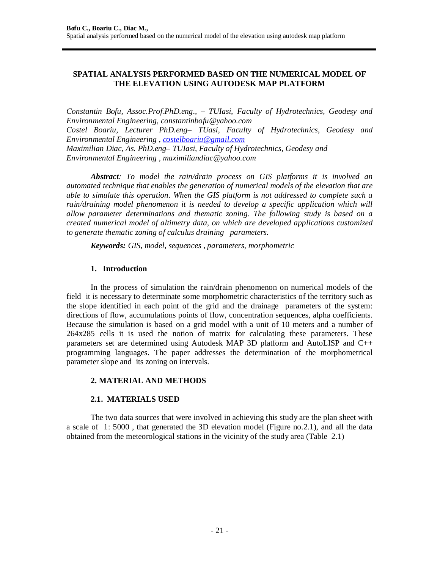## **SPATIAL ANALYSIS PERFORMED BASED ON THE NUMERICAL MODEL OF THE ELEVATION USING AUTODESK MAP PLATFORM**

*Constantin Bofu, Assoc.Prof.PhD.eng*.*, – TUIasi, Faculty of Hydrotechnics, Geodesy and Environmental Engineering, [constantinbofu@yahoo.com](mailto:constantinbofu@yahoo.com) Costel Boariu, Lecturer PhD.eng– TUasi, Faculty of Hydrotechnics, Geodesy and* 

*Environmental Engineering , [costelboariu@gmail.com](mailto:costelboariu@gmail.com)*

*Maximilian Diac, As. PhD.eng– TUIasi, Faculty of Hydrotechnics, Geodesy and Environmental Engineering , [maximiliandiac@yahoo.com](mailto:maximiliandiac@yahoo.com)*

*Abstract: To model the rain/drain process on GIS platforms it is involved an automated technique that enables the generation of numerical models of the elevation that are able to simulate this operation. When the GIS platform is not addressed to complete such a rain/draining model phenomenon it is needed to develop a specific application which will allow parameter determinations and thematic zoning. The following study is based on a created numerical model of altimetry data, on which are developed applications customized to generate thematic zoning of calculus draining parameters.*

*Keywords: GIS, model, sequences , parameters, morphometric*

## **1. Introduction**

In the process of simulation the rain/drain phenomenon on numerical models of the field it is necessary to determinate some morphometric characteristics of the territory such as the slope identified in each point of the grid and the drainage parameters of the system: directions of flow, accumulations points of flow, concentration sequences, alpha coefficients. Because the simulation is based on a grid model with a unit of 10 meters and a number of 264x285 cells it is used the notion of matrix for calculating these parameters. These parameters set are determined using Autodesk MAP 3D platform and AutoLISP and C++ programming languages. The paper addresses the determination of the morphometrical parameter slope and its zoning on intervals.

### **2. MATERIAL AND METHODS**

# **2.1. MATERIALS USED**

The two data sources that were involved in achieving this study are the plan sheet with a scale of 1: 5000 , that generated the 3D elevation model (Figure no.2.1), and all the data obtained from the meteorological stations in the vicinity of the study area (Table 2.1)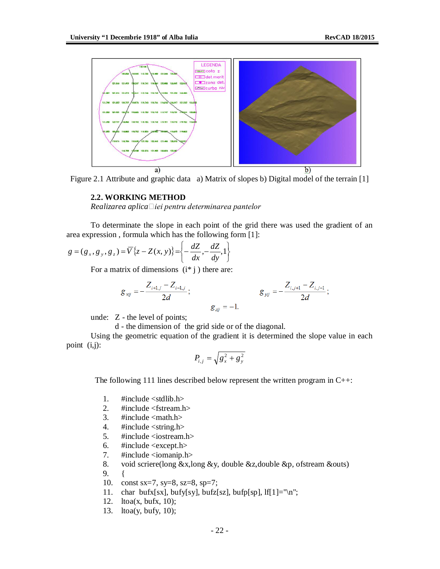

Figure 2.1 Attribute and graphic data a) Matrix of slopes b) Digital model of the terrain [1]

#### **2.2. WORKING METHOD**

*Realizarea aplicaiei pentru determinarea pantelor* 

To determinate the slope in each point of the grid there was used the gradient of an area expression , formula which has the following form [1]:

$$
g = (g_x, g_y, g_z) = \overline{V}\left\{z - Z(x, y)\right\} = \left\{-\frac{dZ}{dx}, -\frac{dZ}{dy}, 1\right\}
$$

For a matrix of dimensions  $(i^* j)$  there are:

$$
g_{xij} = -\frac{Z_{i+1,j} - Z_{i-1,j}}{2d}
$$
;  $g_{yij} = -\frac{Z_{i,j+1} - Z_{i,j-1}}{2d}$   
 $g_{zij} = -1$ .

unde: Z - the level of points;

d - the dimension of the grid side or of the diagonal.

Using the geometric equation of the gradient it is determined the slope value in each point (i,j):

$$
P_{i,j} = \sqrt{g_x^2 + g_y^2}
$$

The following 111 lines described below represent the written program in  $C_{++}$ :

- 1. #include <stdlib.h>
- 2. #include <fstream.h>
- 3.  $\#include \langlemath.h \rangle$
- 4. #include <string.h>
- 5. #include <iostream.h>
- 6.  $\#$ include <except.h><br>7.  $\#$ include <iomanip.h
- $\#$ include  $\langle$ iomanip.h $\rangle$
- 8. void scriere(long &x,long &y, double &z,double &p, ofstream &outs)
- 9. {
- 10. const sx=7, sy=8, sz=8, sp=7;
- 11. char bufx[sx], bufy[sy], bufz[sz], bufp[sp],  $\text{If}$ [1]="\n";
- 12. ltoa(x, bufx, 10);
- 13. ltoa(y, bufy, 10);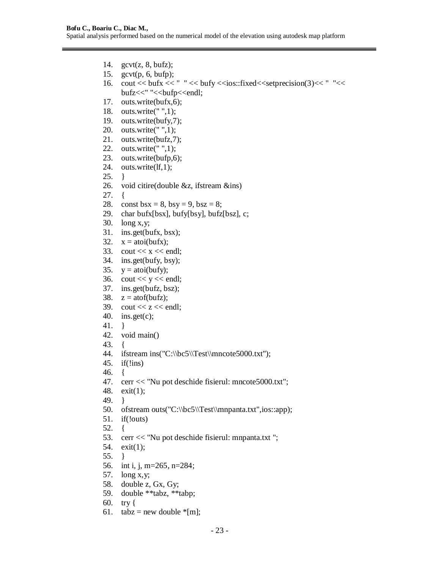- 14. gcvt(z, 8, bufz);
- 15. gcvt(p, 6, bufp);
- 16. cout << bufx << "  $\le$  " << bufy << ios::fixed << setprecision(3) << "  $\le$  < " << < < < |> bufz<<" "<<br/>sbufp<<endl;
- 17. outs.write(bufx,6);
- 18. outs.write(" ",1);
- 19. outs.write(bufy,7);
- 20. outs.write(" ",1);
- 21. outs.write(bufz,7);
- 22. outs.write(" ",1);
- 23. outs.write(bufp,6);
- 24. outs.write(lf,1);
- 25. }
- 26. void citire(double &z, ifstream &ins)
- 27. {
- 28. const bsx = 8, bsy = 9, bsz = 8;
- 29. char bufx[bsx], bufy[bsy], bufz[bsz], c;
- 30. long x,y;
- 31. ins.get(bufx, bsx);
- 32.  $x = \text{atoi}(butx);$
- 33.  $\cot \ll x \ll \text{end}$ ;
- 34. ins.get(bufy, bsy);
- 35.  $y = \text{atoi}(buy);$
- 36. cout  $<< y <<$  endl;
- 37. ins.get(bufz, bsz);
- 38.  $z = \text{atof}(butz)$ ;
- 39. cout  $<< z <<$  endl;
- 40. ins.get $(c)$ ;
- 41. }
- 42. void main()
- 43. {
- 44. ifstream ins("C:\\bc5\\Test\\mncote5000.txt");
- 45. if(!ins)
- 46. {
- 47. cerr << "Nu pot deschide fisierul: mncote5000.txt";
- 48. exit(1);
- 49. }
- 50. of stream outs("C:\\bc5\\Test\\mnpanta.txt",ios::app);
- 51. if(!outs)
- 52. {
- 53. cerr << "Nu pot deschide fisierul: mnpanta.txt ";
- 54. exit(1);
- 55. }
- 56. int i, j, m=265, n=284;
- 57. long x,y;
- 58. double z, Gx, Gy;
- 59. double \*\*tabz, \*\*tabp;
- 60. try {
- 61. tabz = new double  $*$ [m];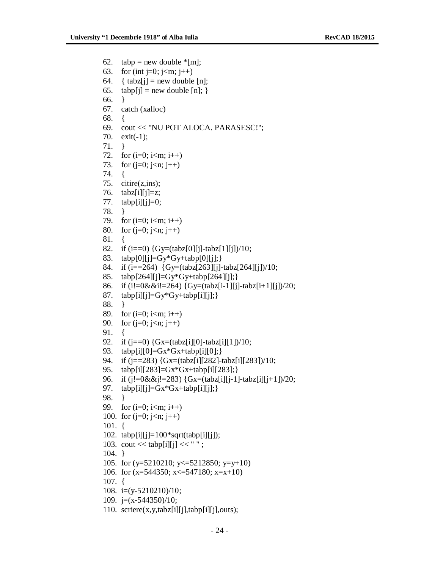```
62. tabp = new double \text{*}[m];
63. for (int j=0; j<m; j++)
64. { tabz[i] = new double [n];65. tabp[j] = new double [n]; }
66. }
67. catch (xalloc)
68. {
69. cout << "NU POT ALOCA. PARASESC!";
70. exit(-1);
71. }
72. for (i=0; i<m; i++)73. for (j=0; j<n; j++)74. {
75. citire(z,ins);
76. tabz[i][j]=z;77. tabp[i][i]=0;78. }
79. for (i=0; i<m; i++)80. for (j=0; j<n; j++)81. {
82. if (i == 0) {Gy=(tabz[0][j]-tabz[1][j]/10;
83. tabp[0][j]=Gy*Gy+tabp[0][j];84. if (i=264) \{Gy=(tabz[263][i]-tabz[264][i])/10;85. tabp[264][j]=Gy*Gy+tabp[264][j];}
86. if (i!=0&(i!=264) {Gy=(tabz[i-1][i]-tabz[i+1][i])/20;87. tabp[i][j]=Gy*Gy+tabp[i][j];}
88. }
89. for (i=0; i<m; i++)90. for (j=0; j < n; j++)91. {
92. if (j == 0) \{Gx = (tabz[i][0]-tabz[i][1])/10;93. tabp[i][0]=Gx*Gx+tabp[i][0];}
94. if (j==283) {Gx=(tabz[i][282]-tabz[i][283])/10;
95. tabp[i][283]=Gx*Gx+tabp[i][283];}
96. if (i!=0&(i!=283) {Gx=(tabz[i][i-1]-tabz[i][i+1])/20;97. tabp[i][j]=Gx*Gx+tabp[i][j];98. }
99. for (i=0; i<m; i++)100. for (j=0; j<n; j++)101. {
102. tabp[i][j]=100*sqrt(tabp[i][j]);103. cout << \tanh[i][j] << " ";
104. }
105. for (y=5210210; y\leq 5212850; y=y+10)106. for (x=544350; x\leq 547180; x=x+10)107. {
108. i=(y-5210210)/10;
109. j=(x-544350)/10;
```
110. scriere $(x, y, tabz[i][j], tabp[i][j],outs);$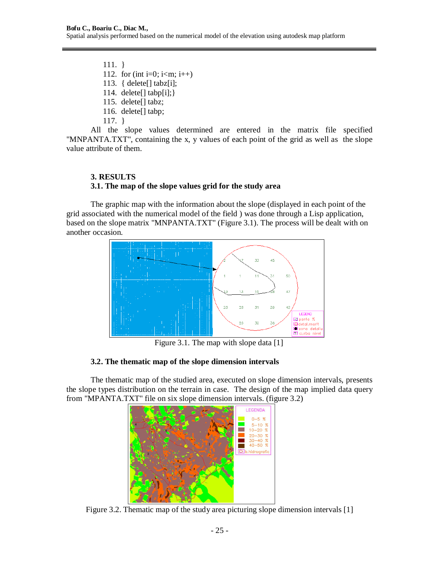111. } 112. for (int i=0; i<m; i++) 113. { delete[] tabz[i]; 114. delete $[]$  tabp $[i];$ 115. delete[] tabz; 116. delete[] tabp; 117. }

All the slope values determined are entered in the matrix file specified "MNPANTA.TXT", containing the x, y values of each point of the grid as well as the slope value attribute of them.

# **3. RESULTS 3.1. The map of the slope values grid for the study area**

The graphic map with the information about the slope (displayed in each point of the grid associated with the numerical model of the field ) was done through a Lisp application, based on the slope matrix "MNPANTA.TXT" (Figure 3.1). The process will be dealt with on another occasion.



Figure 3.1. The map with slope data [1]

# **3.2. The thematic map of the slope dimension intervals**

The thematic map of the studied area, executed on slope dimension intervals, presents the slope types distribution on the terrain in case. The design of the map implied data query from "MPANTA.TXT" file on six slope dimension intervals. (figure 3.2)



Figure 3.2. Thematic map of the study area picturing slope dimension intervals [1]